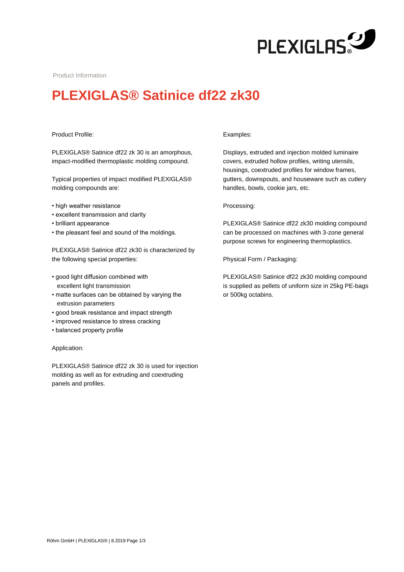

Product Information

# **PLEXIGLAS® Satinice df22 zk30**

## Product Profile:

PLEXIGLAS® Satinice df22 zk 30 is an amorphous, impact-modified thermoplastic molding compound.

Typical properties of impact modified PLEXIGLAS® molding compounds are:

- high weather resistance
- excellent transmission and clarity
- brilliant appearance
- the pleasant feel and sound of the moldings.

PLEXIGLAS® Satinice df22 zk30 is characterized by the following special properties:

- good light diffusion combined with excellent light transmission
- matte surfaces can be obtained by varying the extrusion parameters
- good break resistance and impact strength
- improved resistance to stress cracking
- balanced property profile

#### Application:

PLEXIGLAS® Satinice df22 zk 30 is used for injection molding as well as for extruding and coextruding panels and profiles.

#### Examples:

Displays, extruded and injection molded luminaire covers, extruded hollow profiles, writing utensils, housings, coextruded profiles for window frames, gutters, downspouts, and houseware such as cutlery handles, bowls, cookie jars, etc.

### Processing:

PLEXIGLAS® Satinice df22 zk30 molding compound can be processed on machines with 3-zone general purpose screws for engineering thermoplastics.

Physical Form / Packaging:

PLEXIGLAS® Satinice df22 zk30 molding compound is supplied as pellets of uniform size in 25kg PE-bags or 500kg octabins.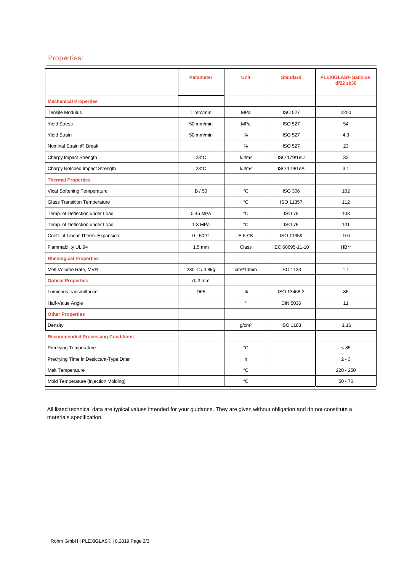# Properties:

|                                          | <b>Parameter</b>   | <b>Unit</b>            | <b>Standard</b>    | <b>PLEXIGLAS<sup>®</sup> Satinice</b><br>df22 zk30 |
|------------------------------------------|--------------------|------------------------|--------------------|----------------------------------------------------|
| <b>Mechanical Properties</b>             |                    |                        |                    |                                                    |
| <b>Tensile Modulus</b>                   | $1$ mm/min         | <b>MPa</b>             | <b>ISO 527</b>     | 2200                                               |
| <b>Yield Stress</b>                      | 50 mm/min          | <b>MPa</b>             | <b>ISO 527</b>     | 54                                                 |
| <b>Yield Strain</b>                      | 50 mm/min          | %                      | <b>ISO 527</b>     | 4.3                                                |
| Nominal Strain @ Break                   |                    | %                      | <b>ISO 527</b>     | 23                                                 |
| Charpy Impact Strength                   | $23^{\circ}$ C     | kJ/m <sup>2</sup>      | <b>ISO 179/1eU</b> | 33                                                 |
| Charpy Notched Impact Strength           | $23^{\circ}$ C     | kJ/m <sup>2</sup>      | ISO 179/1eA        | 3.1                                                |
| <b>Thermal Properties</b>                |                    |                        |                    |                                                    |
| Vicat Softening Temperature              | B/50               | °C                     | <b>ISO 306</b>     | 102                                                |
| <b>Glass Transition Temperature</b>      |                    | °C                     | ISO 11357          | 112                                                |
| Temp. of Deflection under Load           | 0.45 MPa           | °C                     | <b>ISO 75</b>      | 103                                                |
| Temp. of Deflection under Load           | 1.8 MPa            | °C                     | <b>ISO 75</b>      | 101                                                |
| Coeff. of Linear Therm. Expansion        | $0 - 50^{\circ}$ C | $E-5$ / $\mathrm{K}$   | ISO 11359          | 9.6                                                |
| Flammability UL 94                       | $1.5$ mm           | Class                  | IEC 60695-11-10    | HB**                                               |
| <b>Rheological Properties</b>            |                    |                        |                    |                                                    |
| Melt Volume Rate, MVR                    | 230°C / 3.8kg      | cm <sup>3</sup> /10min | <b>ISO 1133</b>    | 1.1                                                |
| <b>Optical Properties</b>                | $d=3$ mm           |                        |                    |                                                    |
| Luminous transmittance                   | D65                | %                      | ISO 13468-2        | 86                                                 |
| Half-Value Angle                         |                    | $\circ$                | <b>DIN 5036</b>    | 11                                                 |
| <b>Other Properties</b>                  |                    |                        |                    |                                                    |
| Density                                  |                    | g/cm <sup>3</sup>      | <b>ISO 1183</b>    | 1.16                                               |
| <b>Recommended Processing Conditions</b> |                    |                        |                    |                                                    |
| <b>Predrying Temperature</b>             |                    | °C                     |                    | < 85                                               |
| Predrying Time in Desiccant-Type Drier   |                    | h                      |                    | $2 - 3$                                            |
| <b>Melt Temperature</b>                  |                    | °C                     |                    | $220 - 250$                                        |
| Mold Temperature (Injection Molding)     |                    | °C                     |                    | $50 - 70$                                          |

All listed technical data are typical values intended for your guidance. They are given without obligation and do not constitute a materials specification.